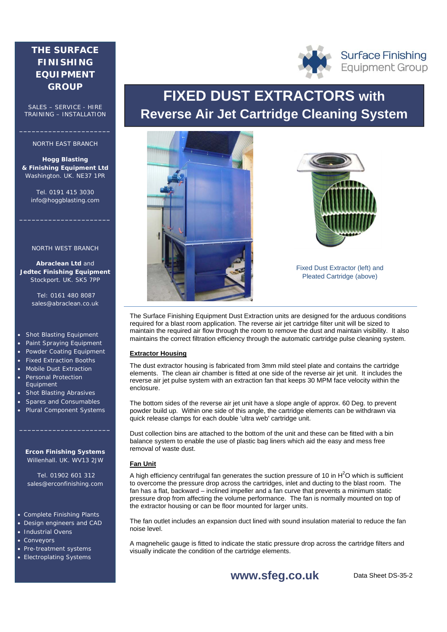# **THE SURFACE FINISHING EQUIPMENT GROUP**

SALES – SERVICE - HIRE TRAINING – INSTALLATION

# NORTH EAST BRANCH

**\_\_\_\_\_\_\_\_\_\_\_\_\_\_\_\_\_\_\_\_\_\_** 

**Hogg Blasting & Finishing Equipment Ltd** Washington. UK. NE37 1PR

Tel. 0191 415 3030 info@hoggblasting.com

**\_\_\_\_\_\_\_\_\_\_\_\_\_\_\_\_\_\_\_\_\_\_** 

#### NORTH WEST BRANCH

**Abraclean Ltd** and **Jedtec Finishing Equipment** Stockport. UK. SK5 7PP

> Tel: 0161 480 8087 sales@abraclean.co.uk

### Shot Blasting Equipment

- Paint Spraying Equipment
- Powder Coating Equipment
- Fixed Extraction Booths
- Mobile Dust Extraction Personal Protection Equipment
- Shot Blasting Abrasives
- Spares and Consumables
- Plural Component Systems

### **Ercon Finishing Systems** Willenhall. UK. WV13 2JW

**\_\_\_\_\_\_\_\_\_\_\_\_\_\_\_\_\_\_\_\_\_\_** 

 Tel. 01902 601 312 sales@erconfinishing.com

# • Complete Finishing Plants

- Design engineers and CAD
- Industrial Ovens
- Conveyors
- Pre-treatment systems
- Electroplating Systems

# **FIXED DUST EXTRACTORS with Reverse Air Jet Cartridge Cleaning System**





Fixed Dust Extractor (left) and Pleated Cartridge (above)

The Surface Finishing Equipment Dust Extraction units are designed for the arduous conditions required for a blast room application. The reverse air jet cartridge filter unit will be sized to maintain the required air flow through the room to remove the dust and maintain visibility. It also maintains the correct filtration efficiency through the automatic cartridge pulse cleaning system.

### **Extractor Housing**

The dust extractor housing is fabricated from 3mm mild steel plate and contains the cartridge elements. The clean air chamber is fitted at one side of the reverse air jet unit. It includes the reverse air jet pulse system with an extraction fan that keeps 30 MPM face velocity within the enclosure.

The bottom sides of the reverse air jet unit have a slope angle of approx. 60 Deg. to prevent powder build up. Within one side of this angle, the cartridge elements can be withdrawn via quick release clamps for each double 'ultra web' cartridge unit.

Dust collection bins are attached to the bottom of the unit and these can be fitted with a bin balance system to enable the use of plastic bag liners which aid the easy and mess free removal of waste dust.

# **Fan Unit**

A high efficiency centrifugal fan generates the suction pressure of 10 in  $H^2O$  which is sufficient to overcome the pressure drop across the cartridges, inlet and ducting to the blast room. The fan has a flat, backward – inclined impeller and a fan curve that prevents a minimum static pressure drop from affecting the volume performance. The fan is normally mounted on top of the extractor housing or can be floor mounted for larger units.

The fan outlet includes an expansion duct lined with sound insulation material to reduce the fan noise level.

A magnehelic gauge is fitted to indicate the static pressure drop across the cartridge filters and visually indicate the condition of the cartridge elements.





**Surface Finishing Equipment Group**